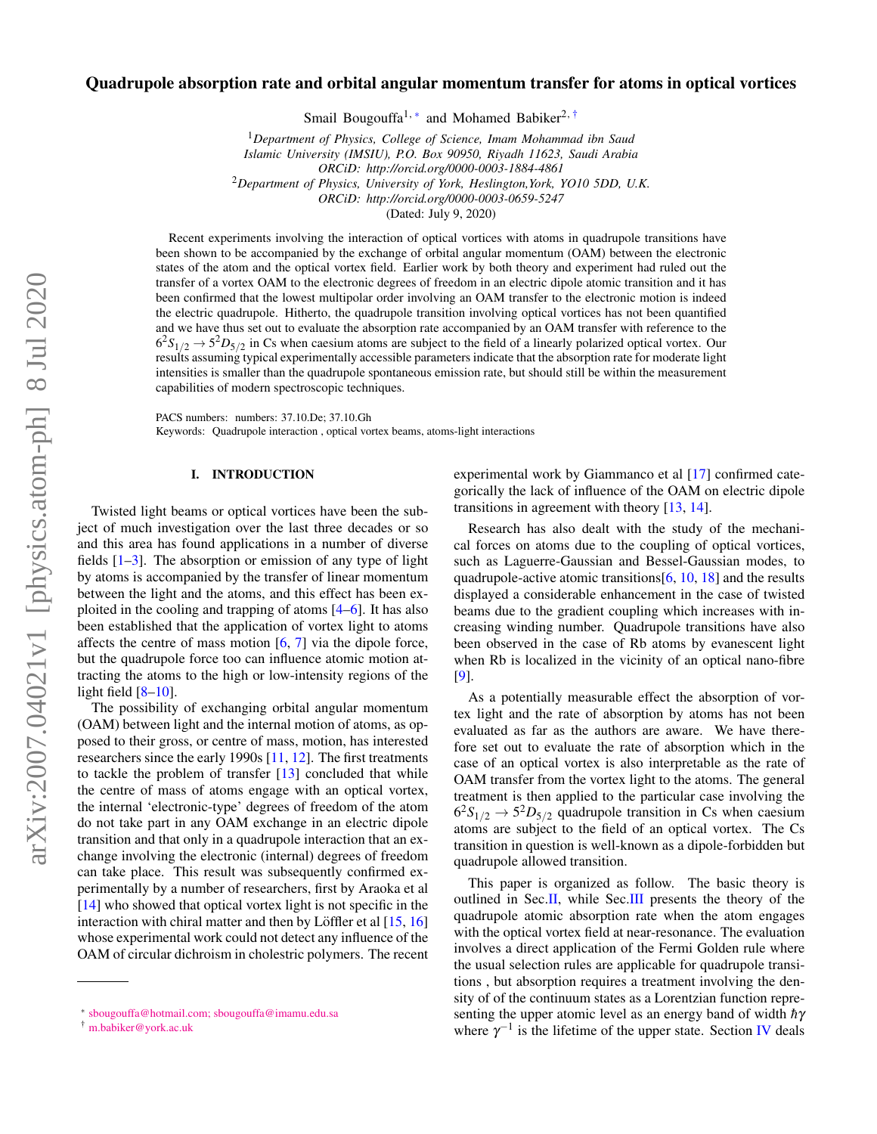# Quadrupole absorption rate and orbital angular momentum transfer for atoms in optical vortices

Smail Bougouffa<sup>1,\*</sup> and Mohamed Babiker<sup>2,[†](#page-0-1)</sup>

<sup>1</sup>*Department of Physics, College of Science, Imam Mohammad ibn Saud*

*Islamic University (IMSIU), P.O. Box 90950, Riyadh 11623, Saudi Arabia*

*ORCiD: http://orcid.org/0000-0003-1884-4861*

<sup>2</sup>*Department of Physics, University of York, Heslington,York, YO10 5DD, U.K.*

*ORCiD: http://orcid.org/0000-0003-0659-5247*

(Dated: July 9, 2020)

Recent experiments involving the interaction of optical vortices with atoms in quadrupole transitions have been shown to be accompanied by the exchange of orbital angular momentum (OAM) between the electronic states of the atom and the optical vortex field. Earlier work by both theory and experiment had ruled out the transfer of a vortex OAM to the electronic degrees of freedom in an electric dipole atomic transition and it has been confirmed that the lowest multipolar order involving an OAM transfer to the electronic motion is indeed the electric quadrupole. Hitherto, the quadrupole transition involving optical vortices has not been quantified and we have thus set out to evaluate the absorption rate accompanied by an OAM transfer with reference to the  $6^{2}S_{1/2} \rightarrow 5^{2}D_{5/2}$  in Cs when caesium atoms are subject to the field of a linearly polarized optical vortex. Our results assuming typical experimentally accessible parameters indicate that the absorption rate for moderate light intensities is smaller than the quadrupole spontaneous emission rate, but should still be within the measurement capabilities of modern spectroscopic techniques.

PACS numbers: numbers: 37.10.De; 37.10.Gh

Keywords: Quadrupole interaction , optical vortex beams, atoms-light interactions

## I. INTRODUCTION

Twisted light beams or optical vortices have been the subject of much investigation over the last three decades or so and this area has found applications in a number of diverse fields  $[1-3]$  $[1-3]$ . The absorption or emission of any type of light by atoms is accompanied by the transfer of linear momentum between the light and the atoms, and this effect has been exploited in the cooling and trapping of atoms [\[4–](#page-5-1)[6\]](#page-5-2). It has also been established that the application of vortex light to atoms affects the centre of mass motion  $[6, 7]$  $[6, 7]$  $[6, 7]$  via the dipole force, but the quadrupole force too can influence atomic motion attracting the atoms to the high or low-intensity regions of the light field  $[8-10]$  $[8-10]$ .

The possibility of exchanging orbital angular momentum (OAM) between light and the internal motion of atoms, as opposed to their gross, or centre of mass, motion, has interested researchers since the early 1990s [\[11,](#page-5-6) [12\]](#page-5-7). The first treatments to tackle the problem of transfer [\[13\]](#page-5-8) concluded that while the centre of mass of atoms engage with an optical vortex, the internal 'electronic-type' degrees of freedom of the atom do not take part in any OAM exchange in an electric dipole transition and that only in a quadrupole interaction that an exchange involving the electronic (internal) degrees of freedom can take place. This result was subsequently confirmed experimentally by a number of researchers, first by Araoka et al [\[14\]](#page-5-9) who showed that optical vortex light is not specific in the interaction with chiral matter and then by Löffler et al  $[15, 16]$  $[15, 16]$  $[15, 16]$  $[15, 16]$ whose experimental work could not detect any influence of the OAM of circular dichroism in cholestric polymers. The recent

experimental work by Giammanco et al [\[17\]](#page-5-12) confirmed categorically the lack of influence of the OAM on electric dipole transitions in agreement with theory [\[13,](#page-5-8) [14\]](#page-5-9).

Research has also dealt with the study of the mechanical forces on atoms due to the coupling of optical vortices, such as Laguerre-Gaussian and Bessel-Gaussian modes, to quadrupole-active atomic transitions[\[6,](#page-5-2) [10,](#page-5-5) [18\]](#page-5-13) and the results displayed a considerable enhancement in the case of twisted beams due to the gradient coupling which increases with increasing winding number. Quadrupole transitions have also been observed in the case of Rb atoms by evanescent light when Rb is localized in the vicinity of an optical nano-fibre [\[9\]](#page-5-14).

As a potentially measurable effect the absorption of vortex light and the rate of absorption by atoms has not been evaluated as far as the authors are aware. We have therefore set out to evaluate the rate of absorption which in the case of an optical vortex is also interpretable as the rate of OAM transfer from the vortex light to the atoms. The general treatment is then applied to the particular case involving the  $6^{2}S_{1/2} \rightarrow 5^{2}D_{5/2}$  quadrupole transition in Cs when caesium atoms are subject to the field of an optical vortex. The Cs transition in question is well-known as a dipole-forbidden but quadrupole allowed transition.

This paper is organized as follow. The basic theory is outlined in Sec[.II,](#page-1-0) while Sec[.III](#page-1-1) presents the theory of the quadrupole atomic absorption rate when the atom engages with the optical vortex field at near-resonance. The evaluation involves a direct application of the Fermi Golden rule where the usual selection rules are applicable for quadrupole transitions , but absorption requires a treatment involving the density of of the continuum states as a Lorentzian function representing the upper atomic level as an energy band of width  $hγ$ where  $\gamma^{-1}$  is the lifetime of the upper state. Section [IV](#page-2-0) deals

<span id="page-0-0"></span><sup>∗</sup> [sbougouffa@hotmail.com; sbougouffa@imamu.edu.sa](mailto:sbougouffa@hotmail.com; sbougouffa@imamu.edu.sa)

<span id="page-0-1"></span><sup>†</sup> [m.babiker@york.ac.uk](mailto:m.babiker@york.ac.uk )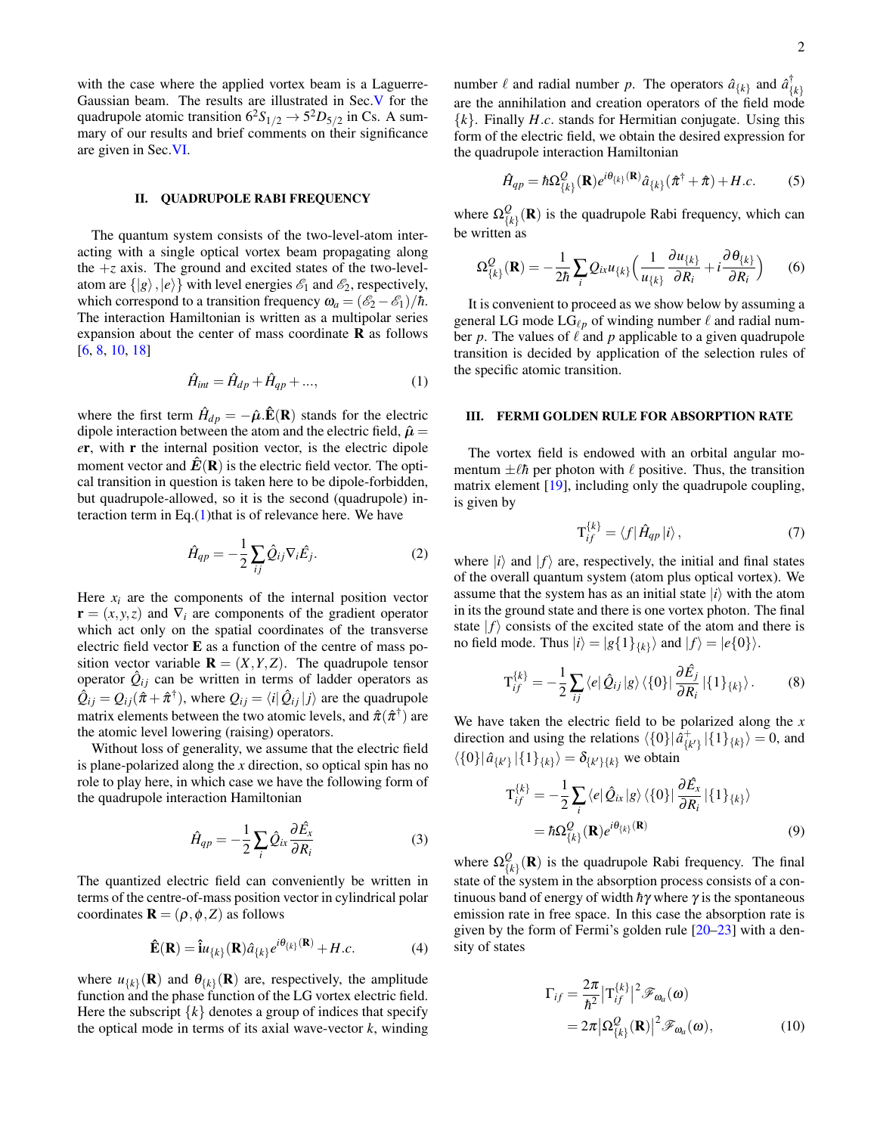with the case where the applied vortex beam is a Laguerre-Gaussian beam. The results are illustrated in Sec[.V](#page-3-0) for the quadrupole atomic transition  $6^2S_{1/2} \rightarrow 5^2D_{5/2}$  in Cs. A summary of our results and brief comments on their significance are given in Sec[.VI.](#page-4-1)

#### <span id="page-1-0"></span>II. QUADRUPOLE RABI FREQUENCY

The quantum system consists of the two-level-atom interacting with a single optical vortex beam propagating along the  $+z$  axis. The ground and excited states of the two-levelatom are  $\{|g\rangle, |e\rangle\}$  with level energies  $\mathcal{E}_1$  and  $\mathcal{E}_2$ , respectively, which correspond to a transition frequency  $\omega_a = (\mathscr{E}_2 - \mathscr{E}_1)/\hbar$ . The interaction Hamiltonian is written as a multipolar series expansion about the center of mass coordinate  **as follows** [\[6,](#page-5-2) [8,](#page-5-4) [10,](#page-5-5) [18\]](#page-5-13)

<span id="page-1-2"></span>
$$
\hat{H}_{int} = \hat{H}_{dp} + \hat{H}_{qp} + ..., \qquad (1)
$$

where the first term  $\hat{H}_{dp} = -\hat{\boldsymbol{\mu}}.\hat{\textbf{E}}(\textbf{R})$  stands for the electric dipole interaction between the atom and the electric field,  $\hat{\mu} =$ *e*r, with r the internal position vector, is the electric dipole moment vector and  $\hat{E}(\mathbf{R})$  is the electric field vector. The optical transition in question is taken here to be dipole-forbidden, but quadrupole-allowed, so it is the second (quadrupole) interaction term in Eq. $(1)$ that is of relevance here. We have

$$
\hat{H}_{qp} = -\frac{1}{2} \sum_{ij} \hat{Q}_{ij} \nabla_i \hat{E}_j.
$$
 (2)

Here  $x_i$  are the components of the internal position vector  $\mathbf{r} = (x, y, z)$  and  $\nabla_i$  are components of the gradient operator which act only on the spatial coordinates of the transverse electric field vector E as a function of the centre of mass position vector variable  $\mathbf{R} = (X, Y, Z)$ . The quadrupole tensor operator  $\hat{Q}_{ij}$  can be written in terms of ladder operators as  $\hat{Q}_{ij} = Q_{ij}(\hat{\pi} + \hat{\pi}^{\dagger})$ , where  $Q_{ij} = \langle i | \hat{Q}_{ij} | j \rangle$  are the quadrupole matrix elements between the two atomic levels, and  $\hat{\pi}(\hat{\pi}^\dagger)$  are the atomic level lowering (raising) operators.

Without loss of generality, we assume that the electric field is plane-polarized along the *x* direction, so optical spin has no role to play here, in which case we have the following form of the quadrupole interaction Hamiltonian

$$
\hat{H}_{qp} = -\frac{1}{2} \sum_{i} \hat{Q}_{ix} \frac{\partial \hat{E}_x}{\partial R_i}
$$
 (3)

The quantized electric field can conveniently be written in terms of the centre-of-mass position vector in cylindrical polar coordinates  $\mathbf{R} = (\rho, \phi, Z)$  as follows

$$
\hat{\mathbf{E}}(\mathbf{R}) = \hat{\mathbf{i}}u_{\{k\}}(\mathbf{R})\hat{a}_{\{k\}}e^{i\theta_{\{k\}}(\mathbf{R})} + H.c.
$$
 (4)

where  $u_{\{k\}}(\mathbf{R})$  and  $\theta_{\{k\}}(\mathbf{R})$  are, respectively, the amplitude function and the phase function of the LG vortex electric field. Here the subscript  $\{k\}$  denotes a group of indices that specify the optical mode in terms of its axial wave-vector *k*, winding

number  $\ell$  and radial number  $p$ . The operators  $\hat{a}_{\{k\}}$  and  $\hat{a}_{\{k\}}^{\dagger}$ are the annihilation and creation operators of the field mode {*k*}. Finally *H*.*c*. stands for Hermitian conjugate. Using this form of the electric field, we obtain the desired expression for the quadrupole interaction Hamiltonian

$$
\hat{H}_{qp} = \hbar \Omega_{\{\mathbf{k}\}}^{\mathbf{Q}}(\mathbf{R}) e^{i\theta_{\{\mathbf{k}\}}(\mathbf{R})} \hat{a}_{\{\mathbf{k}\}}(\hat{\pi}^{\dagger} + \hat{\pi}) + H.c.
$$
 (5)

where  $\Omega_{\Omega}^Q$  $\mathcal{L}_{\{k\}}(\mathbf{R})$  is the quadrupole Rabi frequency, which can be written as

$$
\Omega_{\{k\}}^{\mathcal{Q}}(\mathbf{R}) = -\frac{1}{2\hbar} \sum_{i} Q_{i\kappa} u_{\{k\}} \left( \frac{1}{u_{\{k\}}} \frac{\partial u_{\{k\}}}{\partial R_i} + i \frac{\partial \theta_{\{k\}}}{\partial R_i} \right) \tag{6}
$$

It is convenient to proceed as we show below by assuming a general LG mode  $LG_{\ell p}$  of winding number  $\ell$  and radial number  $p$ . The values of  $\ell$  and  $p$  applicable to a given quadrupole transition is decided by application of the selection rules of the specific atomic transition.

# <span id="page-1-1"></span>III. FERMI GOLDEN RULE FOR ABSORPTION RATE

The vortex field is endowed with an orbital angular momentum  $\pm \ell \hbar$  per photon with  $\ell$  positive. Thus, the transition matrix element [\[19\]](#page-5-15), including only the quadrupole coupling, is given by

$$
\mathbf{T}_{if}^{\{k\}} = \langle f | \hat{H}_{qp} | i \rangle, \tag{7}
$$

where  $|i\rangle$  and  $|f\rangle$  are, respectively, the initial and final states of the overall quantum system (atom plus optical vortex). We assume that the system has as an initial state  $|i\rangle$  with the atom in its the ground state and there is one vortex photon. The final state  $|f\rangle$  consists of the excited state of the atom and there is no field mode. Thus  $|i\rangle = |g\{1\}_{\{k\}}\rangle$  and  $|f\rangle = |e\{0\}\rangle$ .

$$
\mathbf{T}_{if}^{\{k\}} = -\frac{1}{2} \sum_{ij} \langle e | \hat{Q}_{ij} | g \rangle \langle \{0\} | \frac{\partial \hat{E}_j}{\partial R_i} | \{1\}_{\{k\}} \rangle. \tag{8}
$$

We have taken the electric field to be polarized along the *x* direction and using the relations  $\langle \{0\} | \hat{a}^+_{\{k'\}} | \{1\}_{\{k\}} \rangle = 0$ , and  $\langle \{0\} | \hat{a}_{\{k'\}} | \{1\}_{\{k\}} \rangle = \delta_{\{k'\}\{k\}}$  we obtain

$$
T_{if}^{\{k\}} = -\frac{1}{2} \sum_{i} \langle e | \hat{Q}_{ix} | g \rangle \langle \{0\} | \frac{\partial \hat{E}_{x}}{\partial R_{i}} | \{1\}_{\{k\}} \rangle
$$

$$
= \hbar \Omega_{\{k\}}^{Q}(\mathbf{R}) e^{i\theta_{\{k\}}(\mathbf{R})}
$$
(9)

where  $\Omega_{ij}^Q$  $\mathcal{L}_{\{\mathbf{k}\}}(\mathbf{R})$  is the quadrupole Rabi frequency. The final state of the system in the absorption process consists of a continuous band of energy of width  $h\gamma$  where  $\gamma$  is the spontaneous emission rate in free space. In this case the absorption rate is given by the form of Fermi's golden rule [\[20](#page-5-16)[–23\]](#page-5-17) with a density of states

<span id="page-1-3"></span>
$$
\Gamma_{if} = \frac{2\pi}{\hbar^2} |\mathbf{T}_{if}^{\{k\}}|^2 \mathcal{F}_{\omega_a}(\omega)
$$
  
=  $2\pi |\Omega_{\{k\}}^Q(\mathbf{R})|^2 \mathcal{F}_{\omega_a}(\omega),$  (10)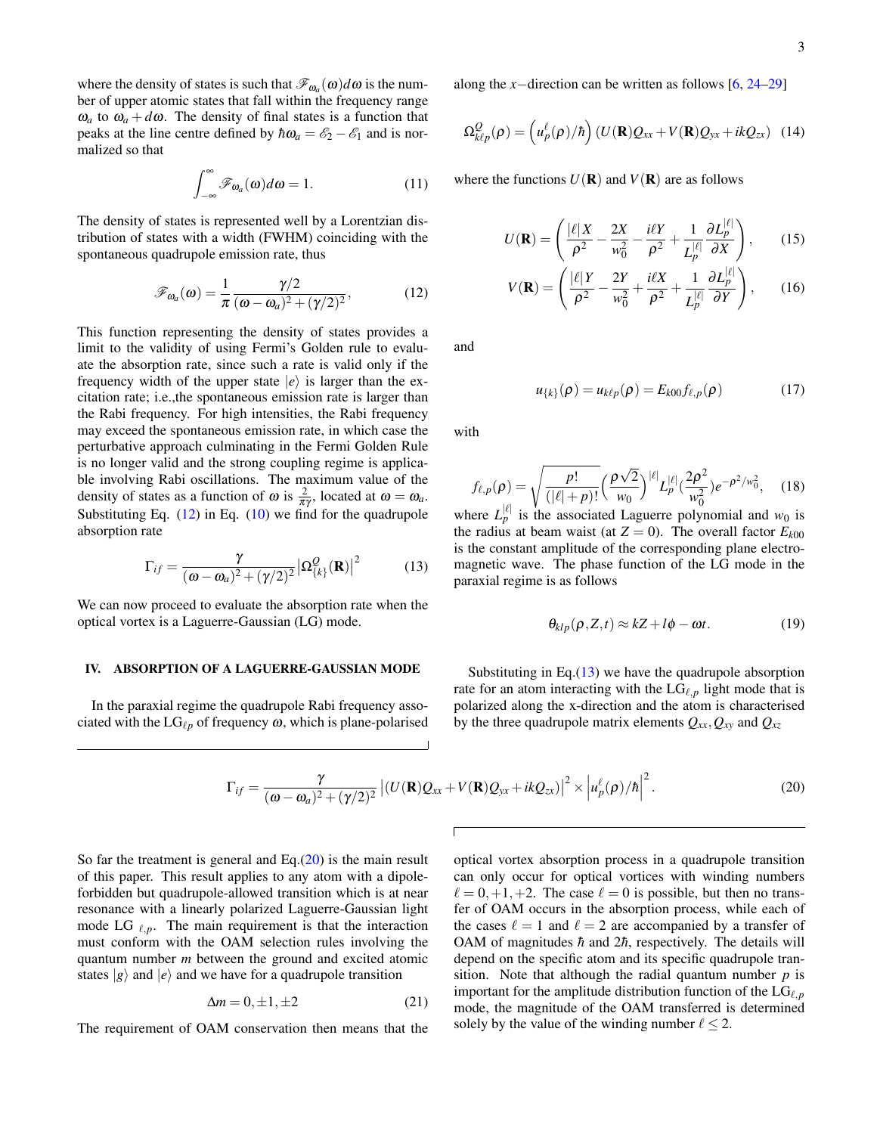where the density of states is such that  $\mathscr{F}_{\omega_a}(\omega)d\omega$  is the number of upper atomic states that fall within the frequency range  $\omega_a$  to  $\omega_a + d\omega$ . The density of final states is a function that peaks at the line centre defined by  $\hbar\omega_a = \mathscr{E}_2 - \mathscr{E}_1$  and is normalized so that

$$
\int_{-\infty}^{\infty} \mathscr{F}_{\omega_a}(\omega) d\omega = 1.
$$
 (11)

The density of states is represented well by a Lorentzian distribution of states with a width (FWHM) coinciding with the spontaneous quadrupole emission rate, thus

<span id="page-2-1"></span>
$$
\mathscr{F}_{\omega_a}(\omega) = \frac{1}{\pi} \frac{\gamma/2}{(\omega - \omega_a)^2 + (\gamma/2)^2},\tag{12}
$$

This function representing the density of states provides a limit to the validity of using Fermi's Golden rule to evaluate the absorption rate, since such a rate is valid only if the frequency width of the upper state  $|e\rangle$  is larger than the excitation rate; i.e.,the spontaneous emission rate is larger than the Rabi frequency. For high intensities, the Rabi frequency may exceed the spontaneous emission rate, in which case the perturbative approach culminating in the Fermi Golden Rule is no longer valid and the strong coupling regime is applicable involving Rabi oscillations. The maximum value of the density of states as a function of  $\omega$  is  $\frac{2}{\pi \gamma}$ , located at  $\omega = \omega_a$ . Substituting Eq.  $(12)$  in Eq.  $(10)$  we find for the quadrupole absorption rate

<span id="page-2-2"></span>
$$
\Gamma_{if} = \frac{\gamma}{(\omega - \omega_a)^2 + (\gamma/2)^2} |\Omega_{\{k\}}^Q(\mathbf{R})|^2 \tag{13}
$$

We can now proceed to evaluate the absorption rate when the optical vortex is a Laguerre-Gaussian (LG) mode.

# <span id="page-2-0"></span>IV. ABSORPTION OF A LAGUERRE-GAUSSIAN MODE

In the paraxial regime the quadrupole Rabi frequency associated with the  $LG_{\ell p}$  of frequency  $\omega$ , which is plane-polarised along the *x*−direction can be written as follows [\[6,](#page-5-2) [24](#page-5-18)[–29\]](#page-5-19)

<span id="page-2-5"></span>
$$
\Omega_{k\ell p}^Q(\rho) = \left(u_p^{\ell}(\rho)/\hbar\right) (U(\mathbf{R})Q_{xx} + V(\mathbf{R})Q_{yx} + ikQ_{zx}) \tag{14}
$$

where the functions  $U(\mathbf{R})$  and  $V(\mathbf{R})$  are as follows

<span id="page-2-4"></span>
$$
U(\mathbf{R}) = \left(\frac{|\ell|X}{\rho^2} - \frac{2X}{w_0^2} - \frac{i\ell Y}{\rho^2} + \frac{1}{L_p^{|\ell|}} \frac{\partial L_p^{|\ell|}}{\partial X}\right),\qquad(15)
$$

$$
V(\mathbf{R}) = \left(\frac{|\ell|Y}{\rho^2} - \frac{2Y}{w_0^2} + \frac{i\ell X}{\rho^2} + \frac{1}{L_p^{|\ell|}} \frac{\partial L_p^{|\ell|}}{\partial Y}\right),\qquad(16)
$$

and

$$
u_{\{k\}}(\rho) = u_{k\ell p}(\rho) = E_{k00} f_{\ell, p}(\rho) \tag{17}
$$

with

<span id="page-2-6"></span>
$$
f_{\ell,p}(\rho) = \sqrt{\frac{p!}{(|\ell|+p)!}} \left(\frac{\rho\sqrt{2}}{w_0}\right)^{|\ell|} L_p^{|\ell|} (\frac{2\rho^2}{w_0^2}) e^{-\rho^2/w_0^2}, \quad (18)
$$

where  $L_p^{|\ell|}$  is the associated Laguerre polynomial and  $w_0$  is the radius at beam waist (at  $Z = 0$ ). The overall factor  $E_{k00}$ is the constant amplitude of the corresponding plane electromagnetic wave. The phase function of the LG mode in the paraxial regime is as follows

$$
\theta_{klp}(\rho, Z, t) \approx kZ + l\phi - \omega t. \tag{19}
$$

Substituting in Eq. $(13)$  we have the quadrupole absorption rate for an atom interacting with the  $LG_{\ell,p}$  light mode that is polarized along the x-direction and the atom is characterised by the three quadrupole matrix elements  $Q_{xx}$ ,  $Q_{xy}$  and  $Q_{xz}$ 

<span id="page-2-3"></span>
$$
\Gamma_{if} = \frac{\gamma}{(\omega - \omega_a)^2 + (\gamma/2)^2} \left| (U(\mathbf{R})Q_{xx} + V(\mathbf{R})Q_{yx} + ikQ_{zx}) \right|^2 \times \left| u_p^{\ell}(\rho)/\hbar \right|^2.
$$
 (20)

So far the treatment is general and Eq.[\(20\)](#page-2-3) is the main result of this paper. This result applies to any atom with a dipoleforbidden but quadrupole-allowed transition which is at near resonance with a linearly polarized Laguerre-Gaussian light mode LG  $_{\ell,p}$ . The main requirement is that the interaction must conform with the OAM selection rules involving the quantum number *m* between the ground and excited atomic states  $|g\rangle$  and  $|e\rangle$  and we have for a quadrupole transition

$$
\Delta m = 0, \pm 1, \pm 2 \tag{21}
$$

The requirement of OAM conservation then means that the

optical vortex absorption process in a quadrupole transition can only occur for optical vortices with winding numbers  $\ell = 0,+1,+2$ . The case  $\ell = 0$  is possible, but then no transfer of OAM occurs in the absorption process, while each of the cases  $\ell = 1$  and  $\ell = 2$  are accompanied by a transfer of OAM of magnitudes  $\hbar$  and 2 $\hbar$ , respectively. The details will depend on the specific atom and its specific quadrupole transition. Note that although the radial quantum number  $p$  is important for the amplitude distribution function of the  $LG_{\ell,p}$ mode, the magnitude of the OAM transferred is determined solely by the value of the winding number  $\ell \leq 2$ .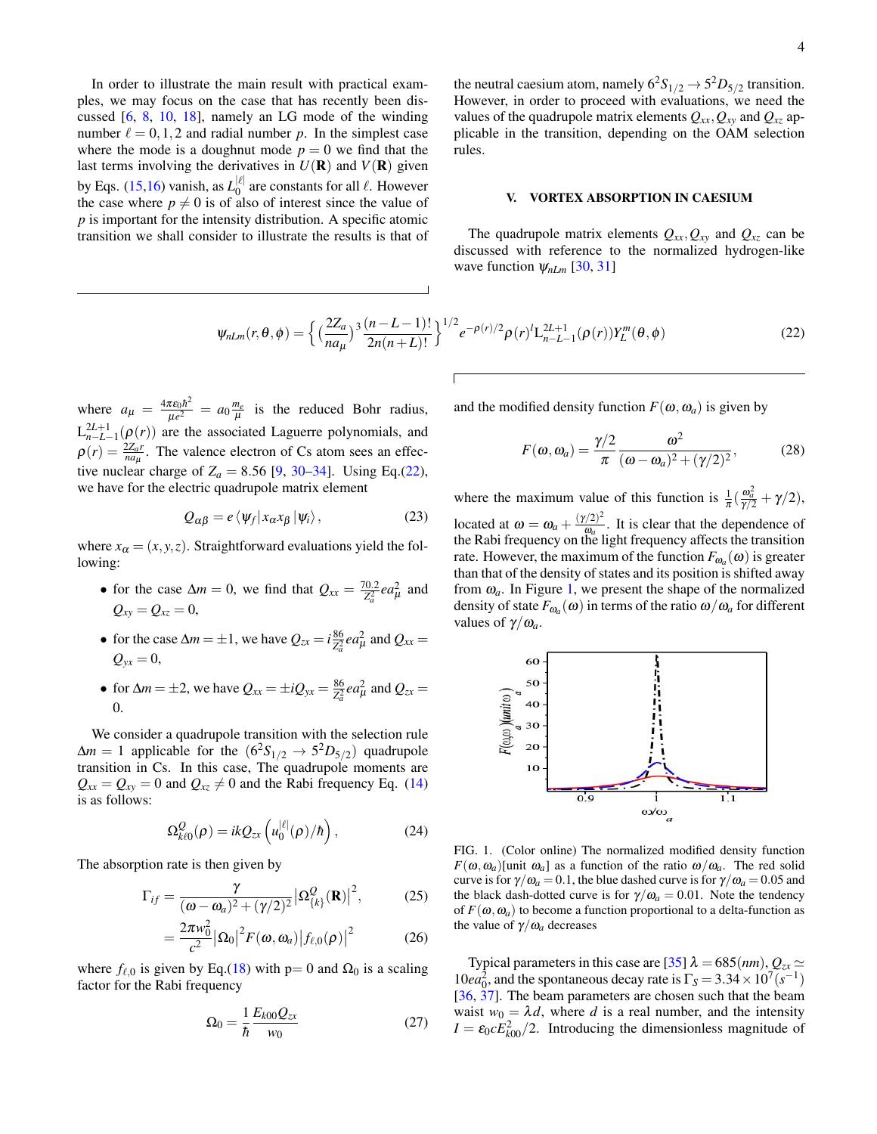In order to illustrate the main result with practical examples, we may focus on the case that has recently been discussed [\[6,](#page-5-2) [8,](#page-5-4) [10,](#page-5-5) [18\]](#page-5-13), namely an LG mode of the winding number  $\ell = 0,1,2$  and radial number *p*. In the simplest case where the mode is a doughnut mode  $p = 0$  we find that the last terms involving the derivatives in  $U(\mathbf{R})$  and  $V(\mathbf{R})$  given by Eqs. [\(15,16\)](#page-2-4) vanish, as  $L_0^{|\ell|}$  $\int_0^{\lvert \epsilon \rvert}$  are constants for all  $\ell$ . However the case where  $p \neq 0$  is of also of interest since the value of *p* is important for the intensity distribution. A specific atomic transition we shall consider to illustrate the results is that of

the neutral caesium atom, namely  $6^2S_{1/2} \rightarrow 5^2D_{5/2}$  transition. However, in order to proceed with evaluations, we need the values of the quadrupole matrix elements  $Q_{xx}$ ,  $Q_{xy}$  and  $Q_{xz}$  applicable in the transition, depending on the OAM selection rules.

## <span id="page-3-0"></span>V. VORTEX ABSORPTION IN CAESIUM

The quadrupole matrix elements  $Q_{xx}$ ,  $Q_{xy}$  and  $Q_{xz}$  can be discussed with reference to the normalized hydrogen-like wave function ψ*nLm* [\[30,](#page-5-20) [31\]](#page-5-21)

<span id="page-3-1"></span>
$$
\psi_{nLm}(r,\theta,\phi) = \left\{ \left( \frac{2Z_a}{na_\mu} \right)^3 \frac{(n-L-1)!}{2n(n+L)!} \right\}^{1/2} e^{-\rho(r)/2} \rho(r)^l L_{n-L-1}^{2L+1}(\rho(r)) Y_L^m(\theta,\phi) \tag{22}
$$

where  $a_{\mu} = \frac{4\pi\epsilon_0\hbar^2}{\mu e^2}$  $\frac{\pi \varepsilon_0 \hbar^2}{\mu e^2} = a_0 \frac{m_e}{\mu}$  is the reduced Bohr radius,  $L_{n-L-1}^{2L+1}(\rho(r))$  are the associated Laguerre polynomials, and  $\rho(r) = \frac{2Z_a r}{n a \mu}$ . The valence electron of Cs atom sees an effective nuclear charge of  $Z_a = 8.56$  [\[9,](#page-5-14) [30](#page-5-20)[–34\]](#page-5-22). Using Eq.[\(22\)](#page-3-1), we have for the electric quadrupole matrix element

$$
Q_{\alpha\beta} = e \langle \psi_f | x_{\alpha} x_{\beta} | \psi_i \rangle, \qquad (23)
$$

where  $x_{\alpha} = (x, y, z)$ . Straightforward evaluations yield the following:

- for the case  $\Delta m = 0$ , we find that  $Q_{xx} = \frac{70.2}{Z^2}$  $\frac{d^{(0)}(z)}{dz^2_a}$  *ea*<sup>2</sup> and  $Q_{xy} = Q_{xz} = 0$ ,
- for the case  $\Delta m = \pm 1$ , we have  $Q_{zx} = i\frac{86}{72}$  $\frac{86}{Z_a^2}$  *ea*<sup>2</sup> and  $Q_{xx}$  =  $Q_{yx} = 0$ ,
- for  $\Delta m = \pm 2$ , we have  $Q_{xx} = \pm i Q_{yx} = \frac{86}{72}$  $\frac{86}{Z_a^2}$  *ea*<sup>2</sup><sub> $\mu$ </sub> and  $Q_{zx}$  = 0.

We consider a quadrupole transition with the selection rule  $\Delta m = 1$  applicable for the  $(6^2S_{1/2} \rightarrow 5^2D_{5/2})$  quadrupole transition in Cs. In this case, The quadrupole moments are  $Q_{xx} = Q_{xy} = 0$  and  $Q_{xz} \neq 0$  and the Rabi frequency Eq. [\(14\)](#page-2-5) is as follows:

$$
\Omega_{k\ell 0}^Q(\rho) = ikQ_{zx}\left(u_0^{|\ell|}(\rho)/\hbar\right),\qquad(24)
$$

The absorption rate is then given by

$$
\Gamma_{if} = \frac{\gamma}{(\omega - \omega_a)^2 + (\gamma/2)^2} |\Omega_{\{k\}}^Q(\mathbf{R})|^2, \tag{25}
$$

$$
=\frac{2\pi w_0^2}{c^2}|\Omega_0|^2 F(\omega,\omega_a)|f_{\ell,0}(\rho)|^2 \qquad (26)
$$

where  $f_{\ell,0}$  is given by Eq.[\(18\)](#page-2-6) with p= 0 and  $\Omega_0$  is a scaling factor for the Rabi frequency

$$
\Omega_0 = \frac{1}{\hbar} \frac{E_{k00} Q_{zx}}{w_0} \tag{27}
$$

and the modified density function  $F(\omega, \omega_a)$  is given by

$$
F(\omega, \omega_a) = \frac{\gamma/2}{\pi} \frac{\omega^2}{(\omega - \omega_a)^2 + (\gamma/2)^2},
$$
 (28)

where the maximum value of this function is  $\frac{1}{\pi} \left( \frac{\omega_a^2}{\gamma/2} + \gamma/2 \right)$ , located at  $\omega = \omega_a + \frac{(\gamma/2)^2}{\omega_a}$  $\frac{\sqrt{2}}{\omega_a}$ . It is clear that the dependence of the Rabi frequency on the light frequency affects the transition rate. However, the maximum of the function  $F_{\omega_a}(\omega)$  is greater than that of the density of states and its position is shifted away from  $\omega_a$ . In Figure [1,](#page-3-2) we present the shape of the normalized density of state  $F_{\omega_a}(\omega)$  in terms of the ratio  $\omega/\omega_a$  for different values of  $\gamma/\omega_a$ .



<span id="page-3-2"></span>FIG. 1. (Color online) The normalized modified density function  $F(\omega, \omega_a)$ [unit  $\omega_a$ ] as a function of the ratio  $\omega/\omega_a$ . The red solid curve is for  $\gamma/\omega_a = 0.1$ , the blue dashed curve is for  $\gamma/\omega_a = 0.05$  and the black dash-dotted curve is for  $\gamma/\omega_a = 0.01$ . Note the tendency of  $F(\omega, \omega_a)$  to become a function proportional to a delta-function as the value of  $\gamma/\omega_a$  decreases

Typical parameters in this case are [\[35\]](#page-5-23)  $\lambda = 685(nm)$ ,  $Q_{zx} \simeq$  $10ea_0^2$ , and the spontaneous decay rate is  $\Gamma_s = 3.34 \times 10^7 (s^{-1})$ [\[36,](#page-5-24) [37\]](#page-5-25). The beam parameters are chosen such that the beam waist  $w_0 = \lambda d$ , where *d* is a real number, and the intensity  $I = \varepsilon_0 c E_{k00}^2 / 2$ . Introducing the dimensionless magnitude of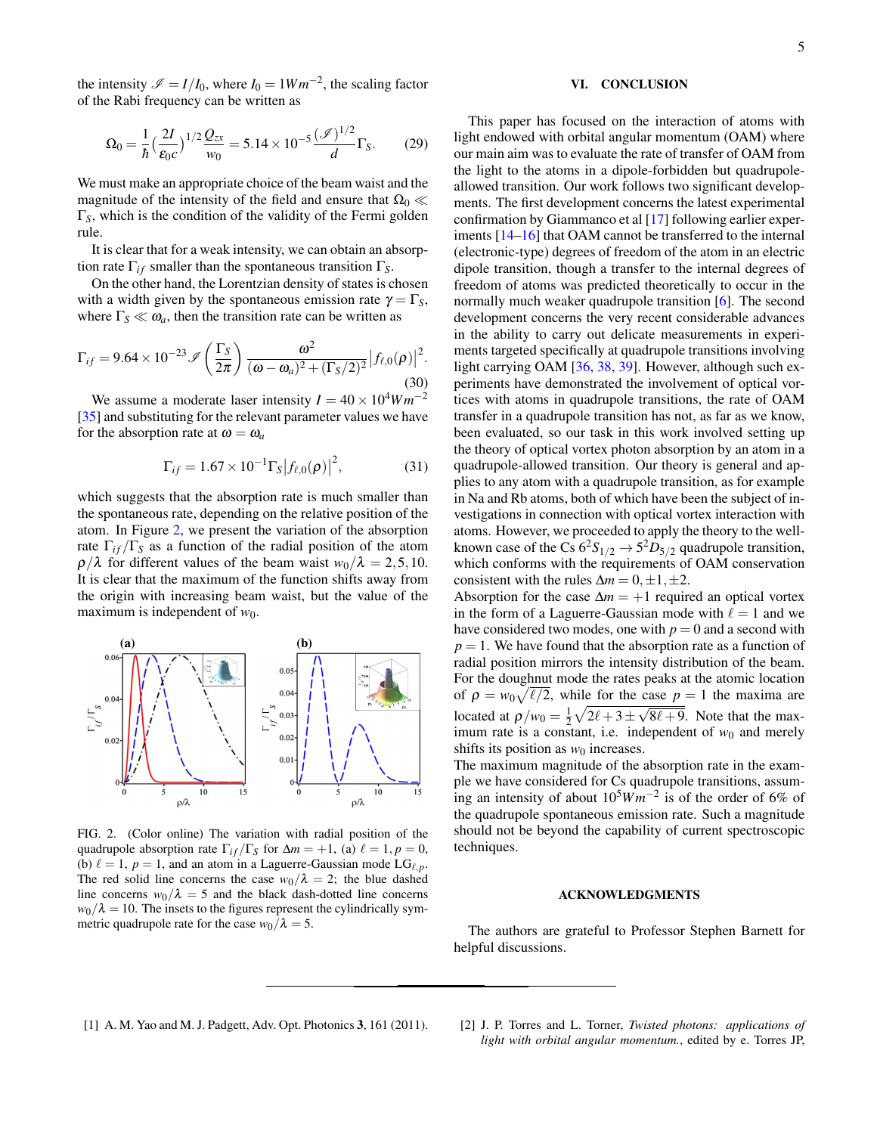the intensity  $\mathcal{I} = I/I_0$ , where  $I_0 = 1Wm^{-2}$ , the scaling factor of the Rabi frequency can be written as

$$
\Omega_0 = \frac{1}{\hbar} \left(\frac{2I}{\varepsilon_0 c}\right)^{1/2} \frac{Q_{zx}}{w_0} = 5.14 \times 10^{-5} \frac{(\mathcal{I})^{1/2}}{d} \Gamma_S. \tag{29}
$$

We must make an appropriate choice of the beam waist and the magnitude of the intensity of the field and ensure that  $\Omega_0 \ll$ Γ*S*, which is the condition of the validity of the Fermi golden rule.

It is clear that for a weak intensity, we can obtain an absorption rate  $\Gamma_{if}$  smaller than the spontaneous transition  $\Gamma_{S}$ .

On the other hand, the Lorentzian density of states is chosen with a width given by the spontaneous emission rate  $\gamma = \Gamma_S$ , where  $\Gamma_S \ll \omega_a$ , then the transition rate can be written as

$$
\Gamma_{if}=9.64\times10^{-23}\mathscr{I}\left(\frac{\Gamma_{S}}{2\pi}\right)\frac{\omega^{2}}{(\omega-\omega_{a})^{2}+(\Gamma_{S}/2)^{2}}\big|f_{\ell,0}(\rho)\big|^{2}.\tag{30}
$$

We assume a moderate laser intensity  $I = 40 \times 10^4 W m^{-2}$ [\[35\]](#page-5-23) and substituting for the relevant parameter values we have for the absorption rate at  $\omega = \omega_a$ 

$$
\Gamma_{if} = 1.67 \times 10^{-1} \Gamma_{s} |f_{\ell,0}(\rho)|^{2}, \tag{31}
$$

which suggests that the absorption rate is much smaller than the spontaneous rate, depending on the relative position of the atom. In Figure [2,](#page-4-2) we present the variation of the absorption rate  $\Gamma_{if}/\Gamma_{S}$  as a function of the radial position of the atom  $\rho/\lambda$  for different values of the beam waist  $w_0/\lambda = 2, 5, 10$ . It is clear that the maximum of the function shifts away from the origin with increasing beam waist, but the value of the maximum is independent of  $w_0$ .



<span id="page-4-2"></span>FIG. 2. (Color online) The variation with radial position of the quadrupole absorption rate  $\Gamma_{if}/\Gamma_{S}$  for  $\Delta m = +1$ , (a)  $\ell = 1, p = 0$ , (b)  $\ell = 1$ ,  $p = 1$ , and an atom in a Laguerre-Gaussian mode LG<sub> $\ell, p$ </sub>. The red solid line concerns the case  $w_0/\lambda = 2$ ; the blue dashed line concerns  $w_0/\lambda = 5$  and the black dash-dotted line concerns  $w_0/\lambda = 10$ . The insets to the figures represent the cylindrically symmetric quadrupole rate for the case  $w_0/\lambda = 5$ .

# <span id="page-4-1"></span>VI. CONCLUSION

This paper has focused on the interaction of atoms with light endowed with orbital angular momentum (OAM) where our main aim was to evaluate the rate of transfer of OAM from the light to the atoms in a dipole-forbidden but quadrupoleallowed transition. Our work follows two significant developments. The first development concerns the latest experimental confirmation by Giammanco et al [\[17\]](#page-5-12) following earlier experiments [\[14](#page-5-9)[–16\]](#page-5-11) that OAM cannot be transferred to the internal (electronic-type) degrees of freedom of the atom in an electric dipole transition, though a transfer to the internal degrees of freedom of atoms was predicted theoretically to occur in the normally much weaker quadrupole transition [\[6\]](#page-5-2). The second development concerns the very recent considerable advances in the ability to carry out delicate measurements in experiments targeted specifically at quadrupole transitions involving light carrying OAM [\[36,](#page-5-24) [38,](#page-5-26) [39\]](#page-5-27). However, although such experiments have demonstrated the involvement of optical vortices with atoms in quadrupole transitions, the rate of OAM transfer in a quadrupole transition has not, as far as we know, been evaluated, so our task in this work involved setting up the theory of optical vortex photon absorption by an atom in a quadrupole-allowed transition. Our theory is general and applies to any atom with a quadrupole transition, as for example in Na and Rb atoms, both of which have been the subject of investigations in connection with optical vortex interaction with atoms. However, we proceeded to apply the theory to the wellknown case of the Cs  $6^2S_{1/2} \rightarrow 5^2D_{5/2}$  quadrupole transition, which conforms with the requirements of OAM conservation consistent with the rules  $\Delta m = 0, \pm 1, \pm 2$ .

Absorption for the case  $\Delta m = +1$  required an optical vortex in the form of a Laguerre-Gaussian mode with  $\ell = 1$  and we have considered two modes, one with  $p = 0$  and a second with  $p = 1$ . We have found that the absorption rate as a function of radial position mirrors the intensity distribution of the beam. For the doughnut mode the rates peaks at the atomic location of  $\rho = w_0 \sqrt{\ell/2}$ , while for the case  $p = 1$  the maxima are located at  $\rho/w_0 = \frac{1}{2}\sqrt{2\ell+3\pm}$ √  $8\ell + 9$ . Note that the maximum rate is a constant, i.e. independent of  $w_0$  and merely shifts its position as  $w_0$  increases.

The maximum magnitude of the absorption rate in the example we have considered for Cs quadrupole transitions, assuming an intensity of about 105*W m*−<sup>2</sup> is of the order of 6% of the quadrupole spontaneous emission rate. Such a magnitude should not be beyond the capability of current spectroscopic techniques.

#### ACKNOWLEDGMENTS

The authors are grateful to Professor Stephen Barnett for helpful discussions.

<span id="page-4-0"></span>[1] A. M. Yao and M. J. Padgett, Adv. Opt. Photonics 3, 161 (2011). [2] J. P. Torres and L. Torner, *Twisted photons: applications of light with orbital angular momentum.*, edited by e. Torres JP,